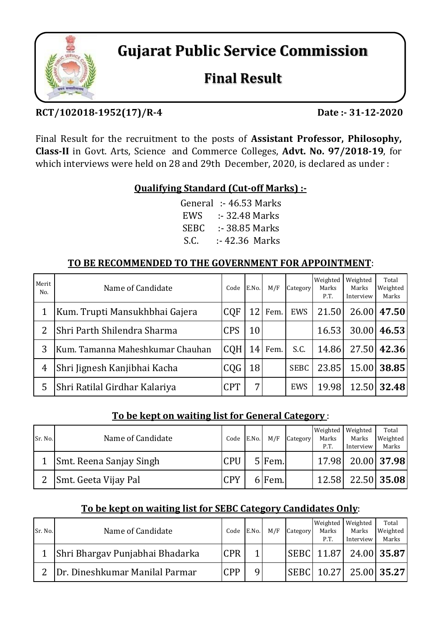

**Gujarat Public Service Commission**

# **Final Result**

## **RCT/102018‐1952(17)/R‐4 Date :‐ 31‐12‐2020**

Final Result for the recruitment to the posts of **Assistant Professor, Philosophy, Class‐II** in Govt. Arts, Science and Commerce Colleges, **Advt. No. 97/2018‐19**, for which interviews were held on 28 and 29th December, 2020, is declared as under :

### **Qualifying Standard (Cut‐off Marks) :‐**

| General     | $: 46.53$ Marks |
|-------------|-----------------|
| EWS         | :- 32.48 Marks  |
| <b>SEBC</b> | :- 38.85 Marks  |
| S.C.        | :- 42.36 Marks  |

## **TO BE RECOMMENDED TO THE GOVERNMENT FOR APPOINTMENT**:

| Merit<br>No. | Name of Candidate                | Code       | E.No.           | M/F  | Category    | Weighted<br>Marks<br>P.T. | Weighted<br>Marks<br>Interview | Total<br>Weighted<br>Marks |
|--------------|----------------------------------|------------|-----------------|------|-------------|---------------------------|--------------------------------|----------------------------|
| 1            | Kum. Trupti Mansukhbhai Gajera   | <b>CQF</b> | 12 <sub>1</sub> | Fem. | EWS         | 21.50                     | 26.00                          | 47.50                      |
| 2            | Shri Parth Shilendra Sharma      | <b>CPS</b> | 10              |      |             | 16.53                     | 30.00                          | 46.53                      |
| 3            | Kum. Tamanna Maheshkumar Chauhan | <b>CQH</b> | 14              | Fem. | S.C.        | 14.86                     | 27.50                          | 42.36                      |
| 4            | Shri Jignesh Kanjibhai Kacha     | CQG        | 18              |      | <b>SEBC</b> | 23.85                     | 15.00                          | 38.85                      |
| 5            | Shri Ratilal Girdhar Kalariya    | <b>CPT</b> | 7               |      | EWS         | 19.98                     | 12.50                          | 32.48                      |

#### **To be kept on waiting list for General Category** :

| Sr. No. | Name of Candidate       | Code       | E.No. | M/F    | Category | Weighted<br>Marks<br>P.T. | Weighted<br>Marks<br>Interview | Total<br>Weighted<br>Marks |
|---------|-------------------------|------------|-------|--------|----------|---------------------------|--------------------------------|----------------------------|
|         | Smt. Reena Sanjay Singh | <b>CPU</b> |       | 5 Fem. |          | 17.98                     |                                | $20.00$ 37.98              |
| 2       | Smt. Geeta Vijay Pal    | <b>CPY</b> |       | ا.Bem  |          | 12.58                     |                                | 22.50 35.08                |

## **To be kept on waiting list for SEBC Category Candidates Only**:

| Sr. No.       | Name of Candidate               | Code       | E.No. | M/F | Category     | Weighted<br>Marks<br>P.T. | Weighted<br>Marks<br>Interview | Total<br>Weighted<br>Marks |
|---------------|---------------------------------|------------|-------|-----|--------------|---------------------------|--------------------------------|----------------------------|
|               | Shri Bhargav Punjabhai Bhadarka | <b>CPR</b> |       |     |              |                           | SEBC 11.87 24.00 35.87         |                            |
| $\mathcal{P}$ | Dr. Dineshkumar Manilal Parmar  | CPP        |       |     | <b>SEBCI</b> | 10.27                     |                                | 25.00 35.27                |